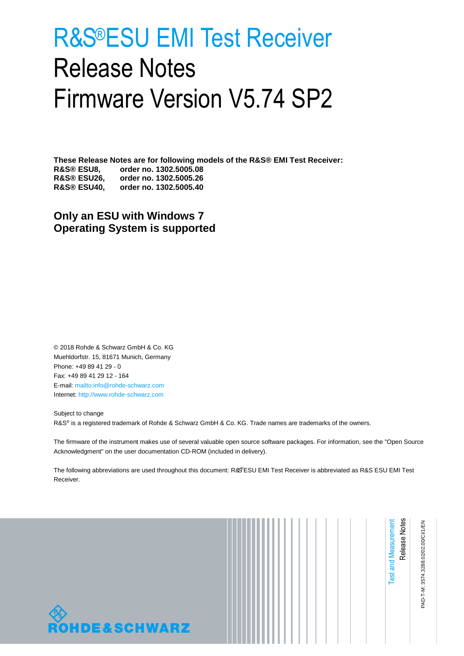# <span id="page-0-1"></span><span id="page-0-0"></span>R&S®ESU EMI Test Receiver Release Notes Firmware Version V5.74 SP2

**These Release Notes are for following models of the R&S® EMI Test Receiver: R&S® ESU8, order no. 1302.5005.08 R&S® ESU26, order no. 1302.5005.26 R&S® ESU40, order no. 1302.5005.40**

**Only an ESU with Windows 7 Operating System is supported**

© 2018 Rohde & Schwarz GmbH & Co. KG Muehldorfstr. 15, 81671 Munich, Germany Phone: +49 89 41 29 - 0 Fax: +49 89 41 29 12 - 164 E-mail:<mailto:info@rohde-schwarz.com> Internet[: http://www.rohde-schwarz.com](http://www.rohde-schwarz.com/)

Subject to change R&S<sup>®</sup> is a registered trademark of Rohde & Schwarz GmbH & Co. KG. Trade names are trademarks of the owners.

The firmware of the instrument makes use of several valuable open source software packages. For information, see the "Open Source Acknowledgment" on the user documentation CD-ROM (included in delivery).

The following abbreviations are used throughout this document: R&S®[ESU EMI Test Receiver](#page-0-0) is abbreviated as R&[S ESU EMI Test](#page-0-0)  [Receiver.](#page-0-0)

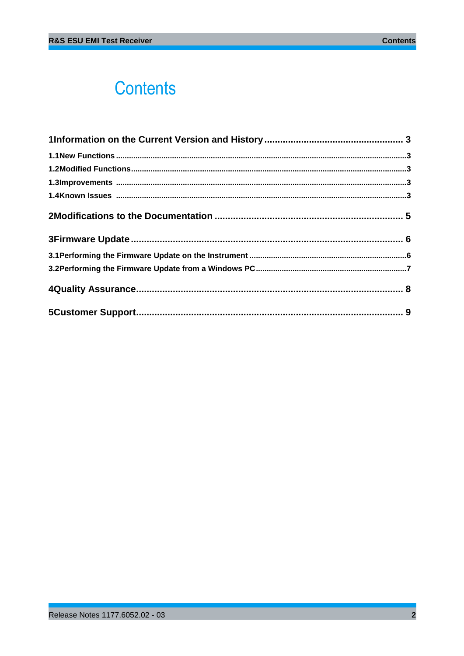## **Contents**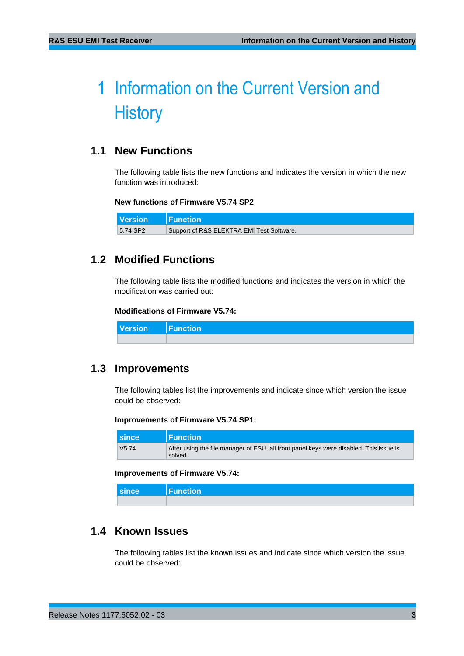## <span id="page-2-0"></span>1 Information on the Current Version and **History**

## <span id="page-2-1"></span>**1.1 New Functions**

The following table lists the new functions and indicates the version in which the new function was introduced:

### **New functions of Firmware V5.74 SP2**

<span id="page-2-2"></span>**Version Function** 5.74 SP2 Support of R&S ELEKTRA EMI Test Software.

### **1.2 Modified Functions**

The following table lists the modified functions and indicates the version in which the modification was carried out:

### **Modifications of Firmware V5.74:**

<span id="page-2-3"></span>**Version Function**

### **1.3 Improvements**

The following tables list the improvements and indicate since which version the issue could be observed:

#### **Improvements of Firmware V5.74 SP1:**

| since         | <b>Function</b>                                                                                   |
|---------------|---------------------------------------------------------------------------------------------------|
| $\sqrt{5.74}$ | After using the file manager of ESU, all front panel keys were disabled. This issue is<br>solved. |

#### **Improvements of Firmware V5.74:**

<span id="page-2-4"></span>

| <b>Since</b> | Function |
|--------------|----------|
|              |          |

## **1.4 Known Issues**

The following tables list the known issues and indicate since which version the issue could be observed: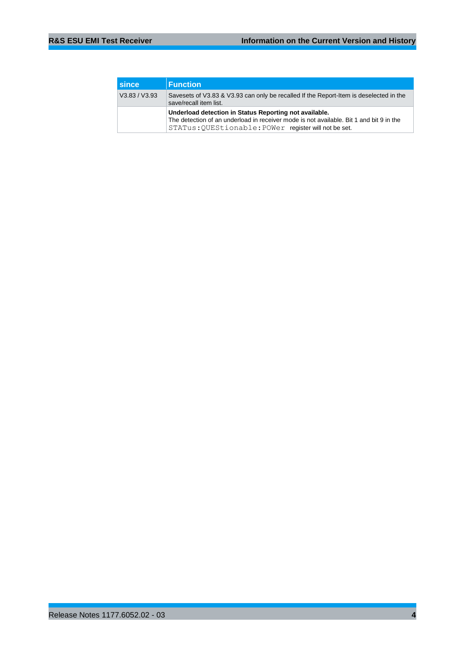| <b>Since</b>  | <b>Function</b>                                                                                                                                                                                            |
|---------------|------------------------------------------------------------------------------------------------------------------------------------------------------------------------------------------------------------|
| V3.83 / V3.93 | Savesets of V3.83 & V3.93 can only be recalled If the Report-Item is deselected in the<br>save/recall item list.                                                                                           |
|               | Underload detection in Status Reporting not available.<br>The detection of an underload in receiver mode is not available. Bit 1 and bit 9 in the<br>STATus: OUEStionable: POWer register will not be set. |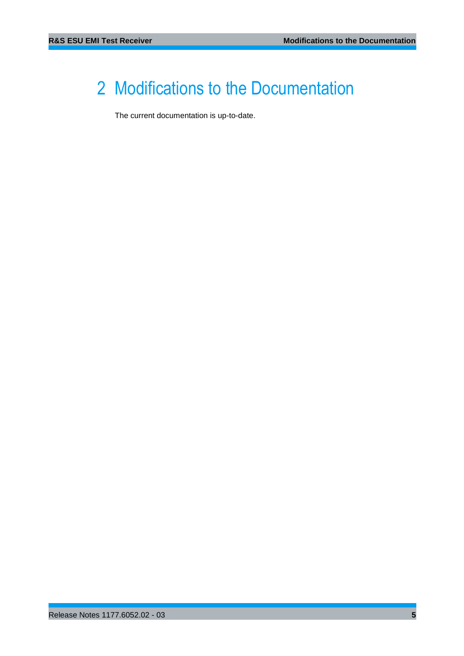## <span id="page-4-0"></span>2 Modifications to the Documentation

The current documentation is up-to-date.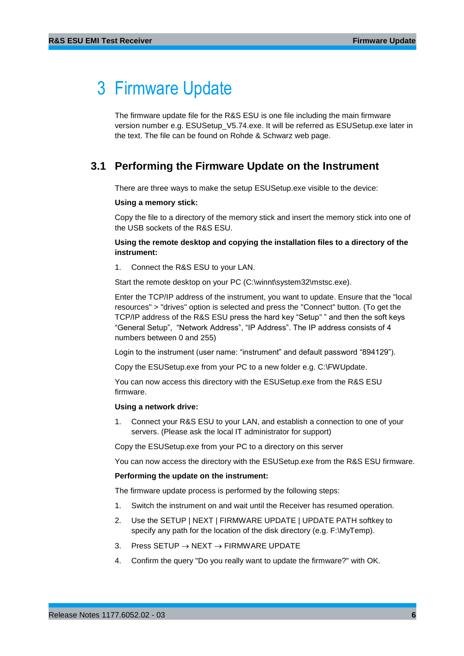## <span id="page-5-0"></span>3 Firmware Update

The firmware update file for the R&S ESU is one file including the main firmware version number e.g. ESUSetup\_V5.74.exe. It will be referred as ESUSetup.exe later in the text. The file can be found on Rohde & Schwarz web page.

## <span id="page-5-1"></span>**3.1 Performing the Firmware Update on the Instrument**

There are three ways to make the setup ESUSetup.exe visible to the device:

#### **Using a memory stick:**

Copy the file to a directory of the memory stick and insert the memory stick into one of the USB sockets of the R&S ESU.

### **Using the remote desktop and copying the installation files to a directory of the instrument:**

1. Connect the R&S ESU to your LAN.

Start the remote desktop on your PC (C:\winnt\system32\mstsc.exe).

Enter the TCP/IP address of the instrument, you want to update. Ensure that the "local resources" > "drives" option is selected and press the "Connect" button. (To get the TCP/IP address of the R&S ESU press the hard key "Setup" " and then the soft keys "General Setup", "Network Address", "IP Address". The IP address consists of 4 numbers between 0 and 255)

Login to the instrument (user name: "instrument" and default password "894129").

Copy the ESUSetup.exe from your PC to a new folder e.g. C:\FWUpdate.

You can now access this directory with the ESUSetup.exe from the R&S ESU firmware.

#### **Using a network drive:**

1. Connect your R&S ESU to your LAN, and establish a connection to one of your servers. (Please ask the local IT administrator for support)

Copy the ESUSetup.exe from your PC to a directory on this server

You can now access the directory with the ESUSetup.exe from the R&S ESU firmware.

#### **Performing the update on the instrument:**

The firmware update process is performed by the following steps:

- 1. Switch the instrument on and wait until the Receiver has resumed operation.
- 2. Use the SETUP | NEXT | FIRMWARE UPDATE | UPDATE PATH softkey to specify any path for the location of the disk directory (e.g. F:\MyTemp).
- 3. Press SETUP  $\rightarrow$  NEXT  $\rightarrow$  FIRMWARE UPDATE
- 4. Confirm the query "Do you really want to update the firmware?" with OK.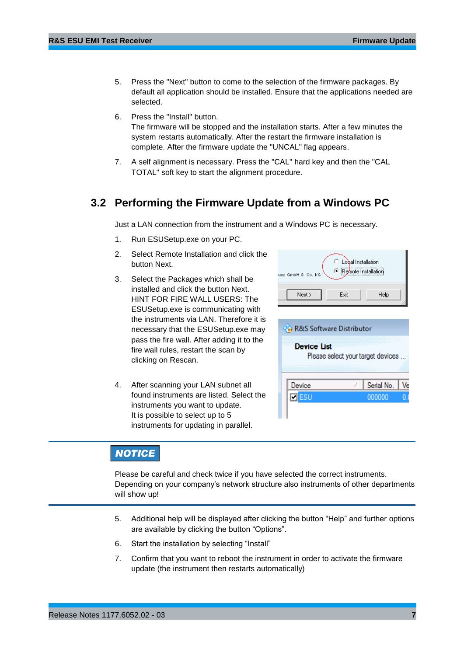Ī

- 5. Press the "Next" button to come to the selection of the firmware packages. By default all application should be installed. Ensure that the applications needed are selected.
- 6. Press the "Install" button. The firmware will be stopped and the installation starts. After a few minutes the system restarts automatically. After the restart the firmware installation is complete. After the firmware update the "UNCAL" flag appears.
- <span id="page-6-0"></span>7. A self alignment is necessary. Press the "CAL" hard key and then the "CAL TOTAL" soft key to start the alignment procedure.

### **3.2 Performing the Firmware Update from a Windows PC**

Just a LAN connection from the instrument and a Windows PC is necessary.

- 1. Run ESUSetup.exe on your PC.
- 2. Select Remote Installation and click the button Next.
- 3. Select the Packages which shall be installed and click the button Next. HINT FOR FIRE WALL USERS: The ESUSetup.exe is communicating with the instruments via LAN. Therefore it is necessary that the ESUSetup.exe may pass the fire wall. After adding it to the fire wall rules, restart the scan by clicking on Rescan.
- 4. After scanning your LAN subnet all found instruments are listed. Select the instruments you want to update. It is possible to select up to 5 instruments for updating in parallel.

| Lobal Installation<br><b>E</b> Remote Installation<br>GmbH & Co. KG<br>arz. |                                   |  |
|-----------------------------------------------------------------------------|-----------------------------------|--|
| Next ><br>Exit                                                              | Help                              |  |
| <b>Ca</b> R&S Software Distributor                                          |                                   |  |
| <b>Device List</b>                                                          | Please select your target devices |  |

Serial No.

000000

Ve

## **NOTICE**

Please be careful and check twice if you have selected the correct instruments. Depending on your company's network structure also instruments of other departments will show up!

Device

 $\n **z**$ 

- 5. Additional help will be displayed after clicking the button "Help" and further options are available by clicking the button "Options".
- 6. Start the installation by selecting "Install"
- 7. Confirm that you want to reboot the instrument in order to activate the firmware update (the instrument then restarts automatically)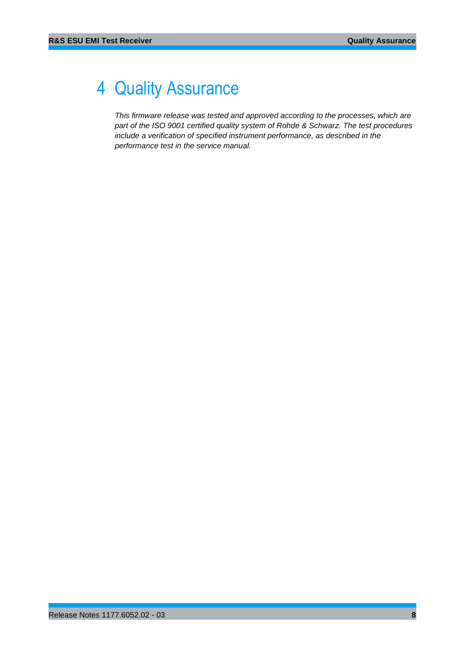## <span id="page-7-0"></span>4 Quality Assurance

*This firmware release was tested and approved according to the processes, which are part of the ISO 9001 certified quality system of Rohde & Schwarz. The test procedures include a verification of specified instrument performance, as described in the performance test in the service manual.*